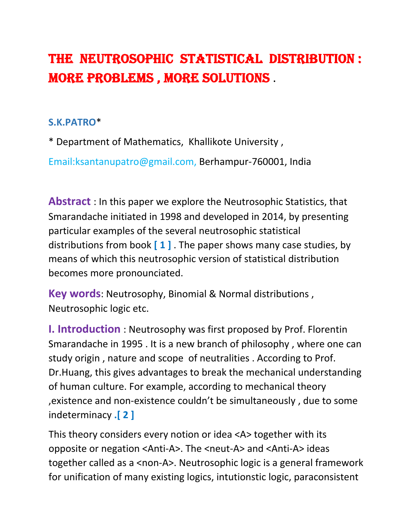# THE NEUTROSOPHIC STATISTICAL DISTRIBUTION : MORE PROBLEMS , MORE SOLUTIONS .

### **S.K.PATRO**\*

\* Department of Mathematics, Khallikote University ,

Email:ksantanupatro@gmail.com, Berhampur‐760001, India

**Abstract** : In this paper we explore the Neutrosophic Statistics, that Smarandache initiated in 1998 and developed in 2014, by presenting particular examples of the several neutrosophic statistical distributions from book **[ 1 ]** . The paper shows many case studies, by means of which this neutrosophic version of statistical distribution becomes more pronounciated.

**Key words**: Neutrosophy, Binomial & Normal distributions , Neutrosophic logic etc.

**I. Introduction** : Neutrosophy was first proposed by Prof. Florentin Smarandache in 1995 . It is a new branch of philosophy , where one can study origin , nature and scope of neutralities . According to Prof. Dr.Huang, this gives advantages to break the mechanical understanding of human culture. For example, according to mechanical theory ,existence and non‐existence couldn't be simultaneously , due to some indeterminacy **.[ 2 ]**

This theory considers every notion or idea <A> together with its opposite or negation <Anti‐A>. The <neut‐A> and <Anti‐A> ideas together called as a <non-A>. Neutrosophic logic is a general framework for unification of many existing logics, intutionstic logic, paraconsistent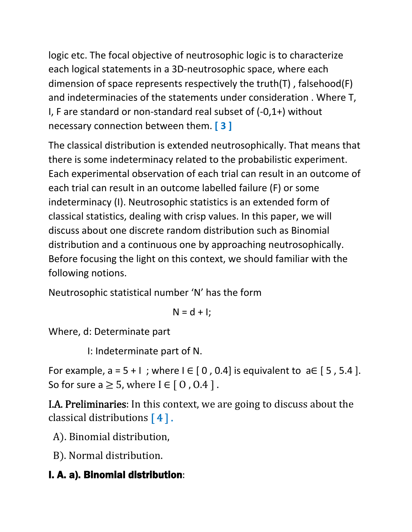logic etc. The focal objective of neutrosophic logic is to characterize each logical statements in a 3D‐neutrosophic space, where each dimension of space represents respectively the truth(T) , falsehood(F) and indeterminacies of the statements under consideration . Where T, I, F are standard or non‐standard real subset of (‐0,1+) without necessary connection between them. **[ 3 ]**

The classical distribution is extended neutrosophically. That means that there is some indeterminacy related to the probabilistic experiment. Each experimental observation of each trial can result in an outcome of each trial can result in an outcome labelled failure (F) or some indeterminacy (I). Neutrosophic statistics is an extended form of classical statistics, dealing with crisp values. In this paper, we will discuss about one discrete random distribution such as Binomial distribution and a continuous one by approaching neutrosophically. Before focusing the light on this context, we should familiar with the following notions.

Neutrosophic statistical number 'N' has the form

$$
N = d + I;
$$

Where, d: Determinate part

I: Indeterminate part of N.

For example,  $a = 5 + 1$ ; where  $I \in [0, 0.4]$  is equivalent to  $a \in [5, 5.4]$ . So for sure a  $\geq$  5, where I  $\in$  [ 0, 0.4 ].

I.A. Preliminaries: In this context, we are going to discuss about the classical distributions  $[4]$ .

A). Binomial distribution,

B). Normal distribution.

# I. A. a). Binomial distribution: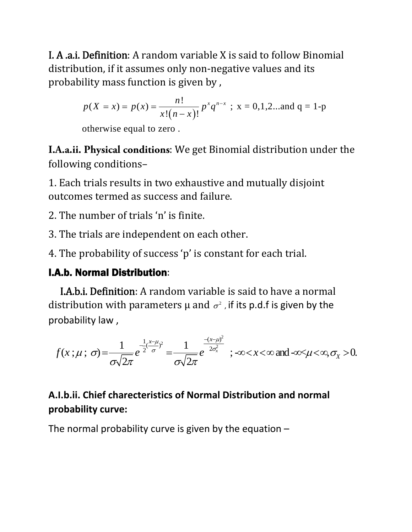I. A .a.i. Definition: A random variable X is said to follow Binomial distribution, if it assumes only non‐negative values and its probability mass function is given by ,

$$
p(X = x) = p(x) = {n! \over x!(n-x)!} p^x q^{n-x}
$$
; x = 0,1,2...and q = 1-p

otherwise equal to zero .

**I.A.a.ii. Physical conditions**: We get Binomial distribution under the following conditions–

1. Each trials results in two exhaustive and mutually disjoint outcomes termed as success and failure.

2. The number of trials 'n' is finite.

3. The trials are independent on each other.

4. The probability of success 'p' is constant for each trial.

### I.A.b. Normal Distribution:

 I.A.b.i. Definition: A random variable is said to have a normal distribution with parameters  $\mu$  and  $\sigma^2$ , if its p.d.f is given by the probability law ,

2  $\overline{u}(x;\mu;\,\sigma) = \frac{1}{\sqrt{2\pi}}e^{\frac{1}{2}(\frac{x-\mu}{\sigma})^2} = \frac{1}{\sqrt{2\pi}}e^{\frac{-(x-\mu)^2}{2\sigma_x^2}}$ ;  $-\infty < x < \infty$  and  $-\infty < \mu < \infty$ ,  $\sigma_x > 0$ .  $2\pi$   $\sigma\sqrt{2}$ *x x*- $\mu_{0.2}$  1  $\frac{-(x+1)^2}{x+2}$  $f(x;\mu;\sigma) = \frac{1}{\sqrt{2}}e^{-2\sigma^2/\sigma^2} = \frac{1}{\sqrt{2}}e^{-2\sigma_x^2}$ ;  $-\infty < x < \infty$  and  $-\infty < \mu < \infty$ ,  $\sigma_x$  $\mu_{12}$  1  $\frac{-(x-\mu_{1})}{(x-\mu_{2})}$  $\mu$ ;  $\sigma$ ) =  $\frac{1}{\sqrt{2}}e^{-2\sigma^2/2\sigma^2}$  =  $\frac{1}{\sqrt{2}}e^{-2\sigma_x}$ ;  $-\infty < x < \infty$  and  $-\infty < \mu < \infty$ ,  $\sigma$  $\sigma$  $\sqrt{2\pi}$   $\sigma$  $\sqrt{2\pi}$  $\frac{1}{2}(\frac{x-\mu}{2})^2$  1  $\frac{-(x-\mu)^2}{2\pi}$  $=-\frac{1}{\sqrt{2}}e^{-2\theta}\sigma^2=-\frac{1}{\sqrt{2}}e^{-2\sigma_x^2}$ ;  $-\infty < x < \infty$  and  $-\infty < \mu < \infty$ ,  $\sigma_x > \infty$ 

# **A.I.b.ii. Chief charecteristics of Normal Distribution and normal probability curve:**

The normal probability curve is given by the equation –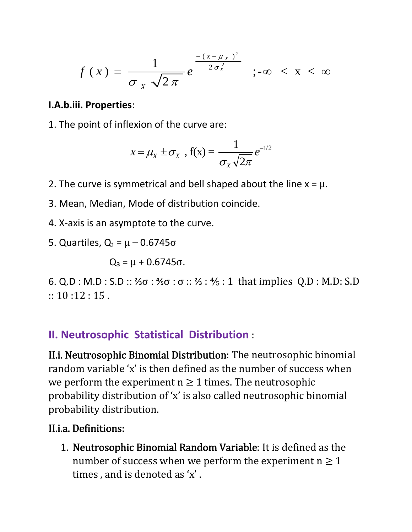$$
f(x) = \frac{1}{\sigma_X \sqrt{2\pi}} e^{-\frac{-(x-\mu_X)^2}{2\sigma_X^2}}
$$
;  $-\infty < x < \infty$ 

#### **I.A.b.iii. Properties**:

1. The point of inflexion of the curve are:

$$
x = \mu_X \pm \sigma_X , f(x) = \frac{1}{\sigma_X \sqrt{2\pi}} e^{-1/2}
$$

- 2. The curve is symmetrical and bell shaped about the line  $x = \mu$ .
- 3. Mean, Median, Mode of distribution coincide.
- 4. X‐axis is an asymptote to the curve.
- 5. Quartiles,  $Q_1 = \mu 0.6745 \sigma$

$$
Q_3=\mu+0.6745\sigma.
$$

6. Q.D : M.D : S.D :: ⅔σ : ⅘σ : σ :: ⅔ : ⅘ : 1 that implies Q.D : M.D: S.D  $\therefore$  10 :12 : 15.

### **II. Neutrosophic Statistical Distribution** :

II.i. Neutrosophic Binomial Distribution: The neutrosophic binomial random variable 'x' is then defined as the number of success when we perform the experiment  $n \geq 1$  times. The neutrosophic probability distribution of 'x' is also called neutrosophic binomial probability distribution.

### II.i.a. Definitions:

1. Neutrosophic Binomial Random Variable: It is defined as the number of success when we perform the experiment  $n \geq 1$ times , and is denoted as 'x' .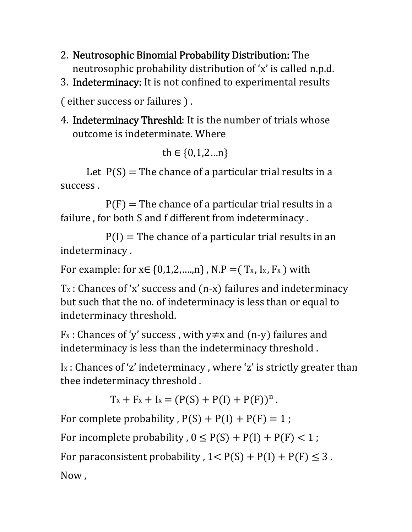- 2. Neutrosophic Binomial Probability Distribution: The neutrosophic probability distribution of 'x' is called n.p.d.
- 3. Indeterminacy: It is not confined to experimental results

(either success or failures).

4. Indeterminacy Threshld: It is the number of trials whose outcome is indeterminate. Where

```
th \in \{0,1,2...n\}
```
Let  $P(S)$  = The chance of a particular trial results in a success .

 $P(F)$  = The chance of a particular trial results in a failure , for both S and f different from indeterminacy .

 $P(I)$  = The chance of a particular trial results in an indeterminacy .

For example: for  $x \in \{0,1,2,...,n\}$ , N.P =  $(T_x, I_x, F_x)$  with

 $Tx:$  Chances of 'x' success and  $(n-x)$  failures and indeterminacy but such that the no. of indeterminacy is less than or equal to indeterminacy threshold.

 $Fx:$  Chances of 'y' success, with  $y \neq x$  and (n-y) failures and indeterminacy is less than the indeterminacy threshold .

Ix : Chances of 'z' indeterminacy, where 'z' is strictly greater than thee indeterminacy threshold .

 $Tx + F_X + I_X = (P(S) + P(I) + P(F))^n$ .

For complete probability,  $P(S) + P(I) + P(F) = 1$ ;

For incomplete probability,  $0 \leq P(S) + P(I) + P(F) < 1$ ;

For paraconsistent probability,  $1 < P(S) + P(I) + P(F) \leq 3$ .

Now ,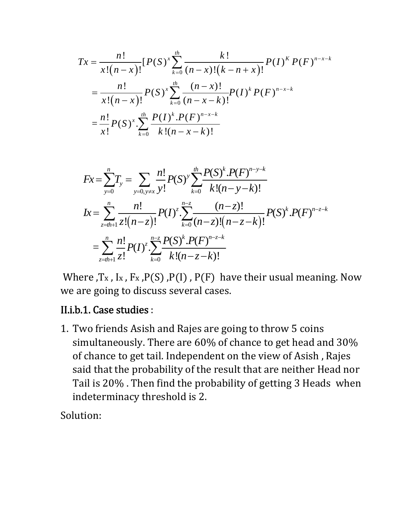$$
Tx = \frac{n!}{x!(n-x)!} [P(S)^{x} \sum_{k=0}^{th} \frac{k!}{(n-x)!(k-n+x)!} P(I)^{k} P(F)^{n-x-k}
$$
  
= 
$$
\frac{n!}{x!(n-x)!} P(S)^{x} \sum_{k=0}^{th} \frac{(n-x)!}{(n-x-k)!} P(I)^{k} P(F)^{n-x-k}
$$
  
= 
$$
\frac{n!}{x!} P(S)^{x} \sum_{k=0}^{th} \frac{P(I)^{k} P(F)^{n-x-k}}{k!(n-x-k)!}
$$

$$
Fx = \sum_{y=0}^{n} T_{y} = \sum_{y=0, y \neq x} \frac{n!}{y!} P(S)^{y} \sum_{k=0}^{n} \frac{P(S)^{k} \cdot P(F)^{n-y-k}}{k!(n-y-k)!}
$$
  
\n
$$
Ix = \sum_{z=0}^{n} \frac{n!}{z!(n-z)!} P(I)^{z} \sum_{k=0}^{n-z} \frac{(n-z)!}{(n-z)!(n-z-k)!} P(S)^{k} \cdot P(F)^{n-z-k}
$$
  
\n
$$
= \sum_{z=0}^{n} \frac{n!}{z!} P(I)^{z} \sum_{k=0}^{n-z} \frac{P(S)^{k} \cdot P(F)^{n-z-k}}{k!(n-z-k)!}
$$

Where ,T<sub>x</sub>, I<sub>x</sub>, F<sub>x</sub>, P(S), P(I), P(F) have their usual meaning. Now we are going to discuss several cases.

#### II.i.b.1. Case studies :

1. Two friends Asish and Rajes are going to throw 5 coins simultaneously. There are 60% of chance to get head and 30% of chance to get tail. Independent on the view of Asish , Rajes said that the probability of the result that are neither Head nor Tail is 20% . Then find the probability of getting 3 Heads when indeterminacy threshold is 2.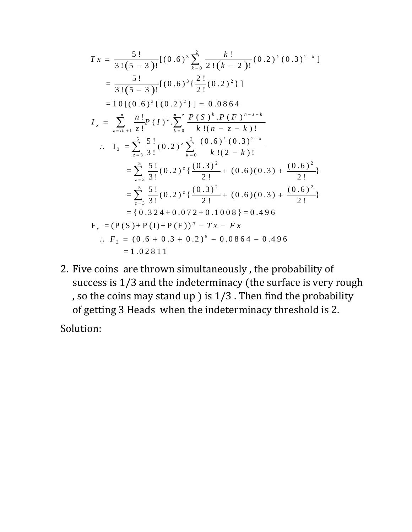$$
Tx = \frac{5!}{3!(5-3)!}[(0.6)^3 \sum_{k=0}^{2} \frac{k!}{2!(k-2)!}(0.2)^k (0.3)^{2-k}]
$$
  
\n
$$
= \frac{5!}{3!(5-3)!}[(0.6)^3 \{ \frac{2!}{2!}(0.2)^2 \}]
$$
  
\n
$$
= 10[(0.6)^3 \{ (0.2)^2 \}] = 0.0864
$$
  
\n
$$
I_x = \sum_{z=th+1}^{n} \frac{n!}{z!} P(I)^{z} \cdot \sum_{k=0}^{n-z} \frac{P(S)^k \cdot P(F)^{n-z-k}}{k!(n-z-k)!}
$$
  
\n
$$
\therefore I_3 = \sum_{z=3}^{5} \frac{5!}{3!}(0.2)^{z} \sum_{k=0}^{2} \frac{(0.6)^k (0.3)^{2-k}}{k!(2-k)!}
$$
  
\n
$$
= \sum_{z=3}^{5} \frac{5!}{3!}(0.2)^{z} \{ \frac{(0.3)^2}{2!} + (0.6)(0.3) + \frac{(0.6)^2}{2!} \}
$$
  
\n
$$
= \sum_{z=3}^{5} \frac{5!}{3!}(0.2)^{z} \{ \frac{(0.3)^2}{2!} + (0.6)(0.3) + \frac{(0.6)^2}{2!} \}
$$
  
\n
$$
= \{ 0.324 + 0.072 + 0.1008 \} = 0.496
$$
  
\n
$$
F_x = (P(S) + P(I) + P(F))^n - Tx - Fx
$$
  
\n
$$
\therefore F_3 = (0.6 + 0.3 + 0.2)^5 - 0.0864 - 0.496
$$
  
\n
$$
= 1.02811
$$

2. Five coins are thrown simultaneously , the probability of success is 1/3 and the indeterminacy (the surface is very rough , so the coins may stand up  $)$  is  $1/3$  . Then find the probability of getting 3 Heads when the indeterminacy threshold is 2.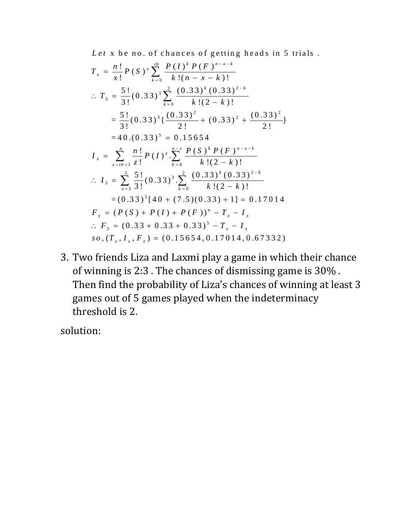x be no. of chances of getting heads in 5 trials . *Let*

$$
T_x = \frac{n!}{x!} P(S)^x \sum_{k=0}^{th} \frac{P(I)^k P(F)^{n-x-k}}{k!(n-x-k)!}
$$
  
\n
$$
\therefore T_3 = \frac{5!}{3!} (0.33)^3 \sum_{k=0}^{2} \frac{(0.33)^k (0.33)^{2-k}}{k!(2-k)!}
$$
  
\n
$$
= \frac{5!}{3!} (0.33)^3 \left\{ \frac{(0.33)^2}{2!} + (0.33)^2 + \frac{(0.33)^2}{2!} \right\}
$$
  
\n
$$
= 40.(0.33)^5 = 0.15654
$$
  
\n
$$
I_x = \sum_{z=th+1}^{n} \frac{n!}{z!} P(I)^z \sum_{k=0}^{n-z} \frac{P(S)^k P(F)^{n-z-k}}{k!(2-k)!}
$$
  
\n
$$
\therefore I_3 = \sum_{z=3}^{5} \frac{5!}{3!} (0.33)^3 \sum_{k=0}^{2} \frac{(0.33)^k (0.33)^{2-k}}{k!(2-k)!}
$$
  
\n
$$
= (0.33)^5 [40 + (7.5)(0.33) + 1] = 0.17014
$$
  
\n
$$
F_x = (P(S) + P(I) + P(F))^n - T_x - I_x
$$
  
\n
$$
\therefore F_3 = (0.33 + 0.33 + 0.33)^5 - T_x - I_x
$$
  
\nso,  $(T_x, I_x, F_x) = (0.15654, 0.17014, 0.67332)$ 

3. Two friends Liza and Laxmi play a game in which their chance of winning is 2:3 . The chances of dismissing game is 30% . Then find the probability of Liza's chances of winning at least 3 games out of 5 games played when the indeterminacy threshold is 2.

solution: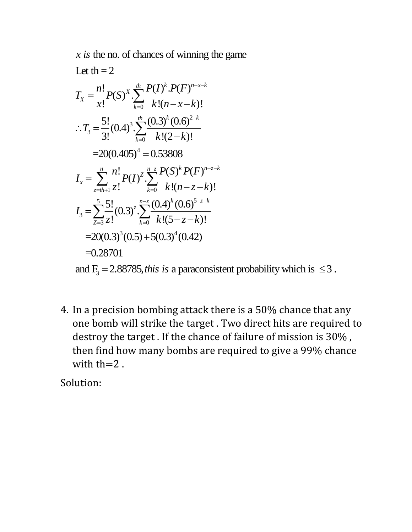$x$  *is* the no. of chances of winning the game

Let th = 2  
\n
$$
T_x = \frac{n!}{x!} P(S)^x \cdot \sum_{k=0}^{n} \frac{P(I)^k P(F)^{n-x-k}}{k!(n-x-k)!}
$$
\n
$$
\therefore T_3 = \frac{5!}{3!} (0.4)^3 \cdot \sum_{k=0}^{n} \frac{(0.3)^k (0.6)^{2-k}}{k!(2-k)!}
$$
\n
$$
= 20(0.405)^4 = 0.53808
$$
\n
$$
I_x = \sum_{z=1}^{n} \frac{n!}{z!} P(I)^z \cdot \sum_{k=0}^{n-z} \frac{P(S)^k P(F)^{n-z-k}}{k!(n-z-k)!}
$$
\n
$$
I_3 = \sum_{z=3}^{5} \frac{5!}{z!} (0.3)^z \cdot \sum_{k=0}^{n-z} \frac{(0.4)^k (0.6)^{5-z-k}}{k!(5-z-k)!}
$$
\n
$$
= 20(0.3)^3 (0.5) + 5(0.3)^4 (0.42)
$$
\n
$$
= 0.28701
$$

and  $F_3 = 2.88785$ , *this is* a paraconsistent probability which is  $\leq 3$ .

4. In a precision bombing attack there is a 50% chance that any one bomb will strike the target . Two direct hits are required to destroy the target . If the chance of failure of mission is 30% , then find how many bombs are required to give a 99% chance with  $th=2$ .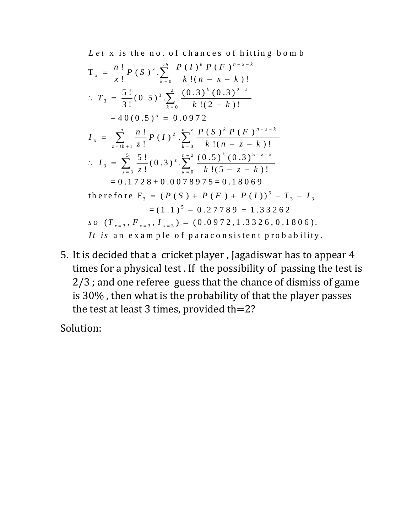Let x is the no. of chances of hitting bomb

$$
T_x = \frac{n!}{x!} P(S)^x \cdot \sum_{k=0}^{th} \frac{P(I)^k P(F)^{n-x-k}}{k!(n-x-k)!}
$$
  
\n
$$
\therefore T_3 = \frac{5!}{3!} (0.5)^3 \cdot \sum_{k=0}^{2} \frac{(0.3)^k (0.3)^{2-k}}{k!(2-k)!}
$$
  
\n
$$
= 40 (0.5)^5 = 0.0972
$$
  
\n
$$
I_x = \sum_{z=th+1}^{n} \frac{n!}{z!} P(I)^z \cdot \sum_{k=0}^{n-z} \frac{P(S)^k P(F)^{n-z-k}}{k!(n-z-k)!}
$$
  
\n
$$
\therefore I_3 = \sum_{z=3}^{5} \frac{5!}{z!} (0.3)^z \cdot \sum_{k=0}^{n-z} \frac{(0.5)^k (0.3)^{5-z-k}}{k!(5-z-k)!}
$$
  
\n
$$
= 0.1728 + 0.0078975 = 0.18069
$$
  
\nthe **refore** F<sub>3</sub> =  $(P(S) + P(F) + P(I))^5 - T_3 - I_3$   
\n
$$
= (1.1)^5 - 0.27789 = 1.33262
$$
  
\n*so*  $(T_{x=3}, F_{x=3}, I_{x=3}) = (0.0972, 1.3326, 0.1806)$ .  
\n*It is an* **ax an ple of paracon sistent probability.**

5. It is decided that a cricket player , Jagadiswar has to appear 4 times for a physical test . If the possibility of passing the test is 2/3 ; and one referee guess that the chance of dismiss of game is 30% , then what is the probability of that the player passes the test at least 3 times, provided th= $2$ ?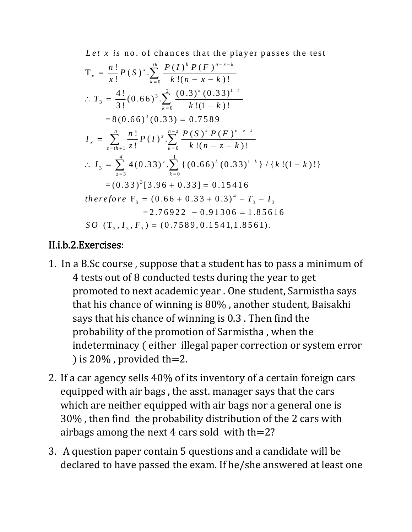Let x is no. of chances that the player passes the test

$$
T_x = \frac{n!}{x!} P(S)^x \cdot \sum_{k=0}^{th} \frac{P(I)^k P(F)^{n-x-k}}{k!(n-x-k)!}
$$
  
\n
$$
\therefore T_3 = \frac{4!}{3!} (0.66)^3 \cdot \sum_{k=0}^{2} \frac{(0.3)^k (0.33)^{1-k}}{k!(1-k)!}
$$
  
\n
$$
= 8(0.66)^3 (0.33) = 0.7589
$$
  
\n
$$
I_x = \sum_{z=th+1}^{n} \frac{n!}{z!} P(I)^z \cdot \sum_{k=0}^{n-z} \frac{P(S)^k P(F)^{n-z-k}}{k!(n-z-k)!}
$$
  
\n
$$
\therefore I_3 = \sum_{z=3}^{4} 4(0.33)^z \cdot \sum_{k=0}^{1} \left\{ (0.66)^k (0.33)^{1-k} \right\} / \left\{ k! (1-k)! \right\}
$$
  
\n
$$
= (0.33)^3 [3.96 + 0.33] = 0.15416
$$
  
\ntherefore  $F_3 = (0.66 + 0.33 + 0.3)^4 - T_3 - I_3$   
\n
$$
= 2.76922 - 0.91306 = 1.85616
$$
  
\nSO  $(T_3, I_3, F_3) = (0.7589, 0.1541, 1.8561)$ .

### II.i.b.2.Exercises:

- 1. In a B.Sc course , suppose that a student has to pass a minimum of 4 tests out of 8 conducted tests during the year to get promoted to next academic year . One student, Sarmistha says that his chance of winning is 80% , another student, Baisakhi says that his chance of winning is 0.3 . Then find the probability of the promotion of Sarmistha , when the indeterminacy (either illegal paper correction or system error ) is  $20\%$ , provided th=2.
- 2. If a car agency sells 40% of its inventory of a certain foreign cars equipped with air bags , the asst. manager says that the cars which are neither equipped with air bags nor a general one is 30% , then find the probability distribution of the 2 cars with airbags among the next 4 cars sold with th=2?
- 3. A question paper contain 5 questions and a candidate will be declared to have passed the exam. If he/she answered at least one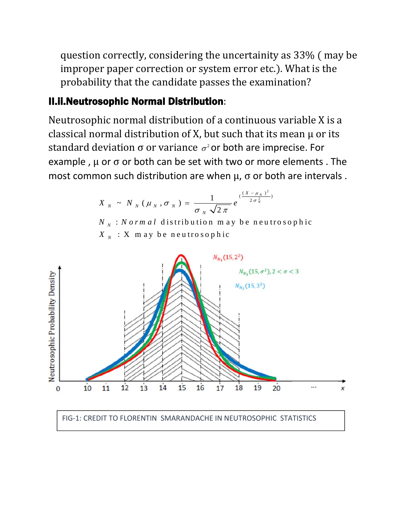question correctly, considering the uncertainity as 33% (may be improper paper correction or system error etc.). What is the probability that the candidate passes the examination?

### II.ii.Neutrosophic Normal Distribution:

Neutrosophic normal distribution of a continuous variable X is a classical normal distribution of X, but such that its mean  $\mu$  or its standard deviation  $\sigma$  or variance  $\sigma^2$  or both are imprecise. For example,  $\mu$  or  $\sigma$  or both can be set with two or more elements. The most common such distribution are when  $\mu$ ,  $\sigma$  or both are intervals.

$$
X_{N} \sim N_{N} (\mu_{N}, \sigma_{N}) = \frac{1}{\sigma_{N} \sqrt{2 \pi}} e^{(\frac{(X - \mu_{N})^{2}}{2 \sigma_{N}^{2}})}
$$

: distribution m ay be neutrosophic *N N N orm al* : X m ay be neutrosophic *N X*



#### FIG‐1: CREDIT TO FLORENTIN SMARANDACHE IN NEUTROSOPHIC STATISTICS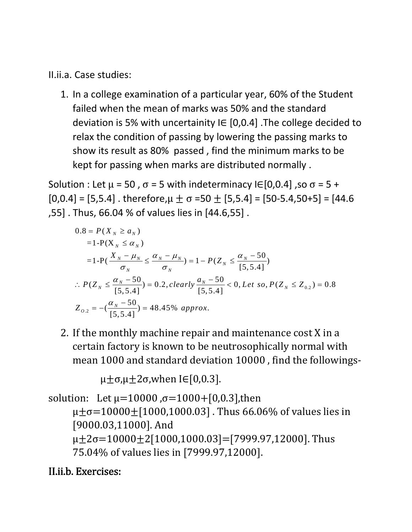II.ii.a. Case studies:

1. In a college examination of a particular year, 60% of the Student failed when the mean of marks was 50% and the standard deviation is 5% with uncertainity  $I \in [0,0.4]$ . The college decided to relax the condition of passing by lowering the passing marks to show its result as 80% passed , find the minimum marks to be kept for passing when marks are distributed normally .

Solution : Let  $\mu$  = 50,  $\sigma$  = 5 with indeterminacy IE[0,0.4], so  $\sigma$  = 5 +  $[0,0.4] = [5,5.4]$ . therefore,  $\mu \pm \sigma = 50 \pm [5,5.4] = [50-5.4,50+5] = [44.6$ ,55] . Thus, 66.04 % of values lies in [44.6,55] .

$$
0.8 = P(X_N \ge a_N)
$$
  
= 1-P(X<sub>N</sub> \le a\_N)  
= 1-P(\frac{X\_N - \mu\_N}{\sigma\_N} \le \frac{\alpha\_N - \mu\_N}{\sigma\_N}) = 1 - P(Z\_N \le \frac{\alpha\_N - 50}{[5, 5.4]})  

$$
\therefore P(Z_N \le \frac{\alpha_N - 50}{[5, 5.4]}) = 0.2, clearly \frac{a_N - 50}{[5, 5.4]} < 0, Let so, P(Z_N \le Z_{0.2}) = 0.8
$$
  

$$
Z_{0.2} = -(\frac{\alpha_N - 50}{[5, 5.4]}) = 48.45\% \text{ approx.}
$$

2. If the monthly machine repair and maintenance cost X in a certain factory is known to be neutrosophically normal with mean 1000 and standard deviation 10000 , find the followings‐

 $\mu \pm \sigma, \mu \pm 2\sigma$ , when IE[0,0.3].

solution: Let  $\mu$ =10000,  $\sigma$ =1000+[0,0.3],then  $\mu \pm \sigma = 10000 \pm [1000, 1000.03]$ . Thus 66.06% of values lies in [9000.03,11000]. And  $\mu$ ±2σ=10000±2[1000,1000.03]=[7999.97,12000]. Thus 75.04% of values lies in [7999.97,12000].

### II.ii.b. Exercises: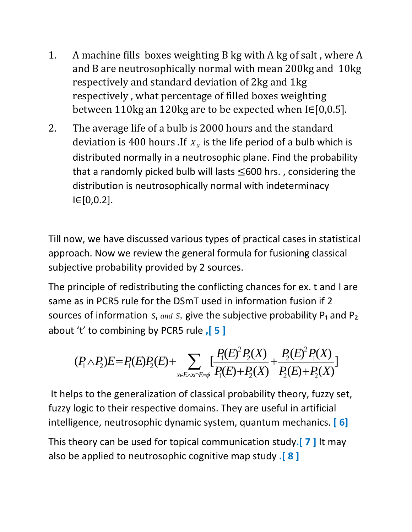- 1. A machine fills boxes weighting B kg with A kg of salt , where A and B are neutrosophically normal with mean 200kg and 10kg respectively and standard deviation of 2kg and 1kg respectively , what percentage of filled boxes weighting between 110kg an 120kg are to be expected when  $I \in [0,0.5]$ .
- 2. The average life of a bulb is 2000 hours and the standard deviation is 400 hours .If  $X<sub>N</sub>$  is the life period of a bulb which is distributed normally in a neutrosophic plane. Find the probability that a randomly picked bulb will lasts  $\leq 600$  hrs., considering the distribution is neutrosophically normal with indeterminacy I∈[0,0.2].

Till now, we have discussed various types of practical cases in statistical approach. Now we review the general formula for fusioning classical subjective probability provided by 2 sources.

The principle of redistributing the conflicting chances for ex. t and I are same as in PCR5 rule for the DSmT used in information fusion if 2 sources of information  $S_1$  and  $S_2$  give the subjective probability P<sub>1</sub> and P<sub>2</sub> about 't' to combining by PCR5 rule **,[ 5 ]**

$$
(P_1 \wedge P_2)E = P_1(E)P_2(E) + \sum_{x \in E \wedge x \cap E = \phi} \left[ \frac{P_1(E)^2 P_2(X)}{P_1(E) + P_2(X)} + \frac{P_2(E)^2 P_1(X)}{P_2(E) + P_2(X)} \right]
$$

It helps to the generalization of classical probability theory, fuzzy set, fuzzy logic to their respective domains. They are useful in artificial intelligence, neutrosophic dynamic system, quantum mechanics. **[ 6]**

This theory can be used for topical communication study**.[ 7 ]** It may also be applied to neutrosophic cognitive map study **.[ 8 ]**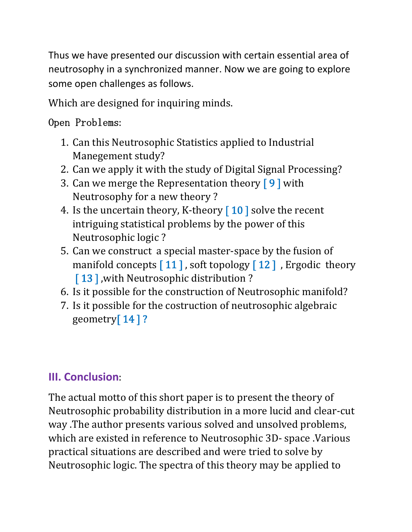Thus we have presented our discussion with certain essential area of neutrosophy in a synchronized manner. Now we are going to explore some open challenges as follows.

Which are designed for inquiring minds.

## Open Problems:

- 1. Can this Neutrosophic Statistics applied to Industrial Manegement study?
- 2. Can we apply it with the study of Digital Signal Processing?
- 3. Can we merge the Representation theory  $\lceil 9 \rceil$  with Neutrosophy for a new theory ?
- 4. Is the uncertain theory, K-theory  $\lceil 10 \rceil$  solve the recent intriguing statistical problems by the power of this Neutrosophic logic ?
- 5. Can we construct a special master‐space by the fusion of manifold concepts  $\lceil 11 \rceil$ , soft topology  $\lceil 12 \rceil$ , Ergodic theory [13], with Neutrosophic distribution?
- 6. Is it possible for the construction of Neutrosophic manifold?
- 7. Is it possible for the costruction of neutrosophic algebraic geometry $[14]$ ?

# **III. Conclusion**:

The actual motto of this short paper is to present the theory of Neutrosophic probability distribution in a more lucid and clear‐cut way .The author presents various solved and unsolved problems, which are existed in reference to Neutrosophic 3D‐ space .Various practical situations are described and were tried to solve by Neutrosophic logic. The spectra of this theory may be applied to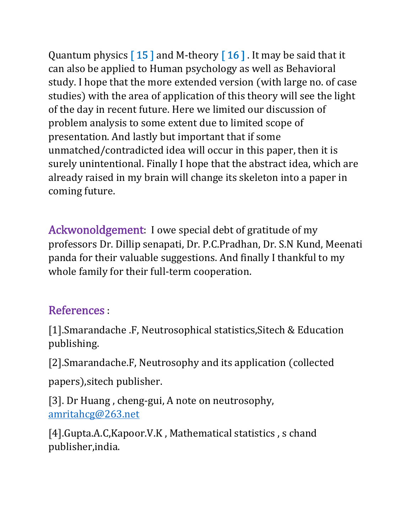Quantum physics  $\lceil 15 \rceil$  and M-theory  $\lceil 16 \rceil$ . It may be said that it can also be applied to Human psychology as well as Behavioral study. I hope that the more extended version (with large no. of case studies) with the area of application of this theory will see the light of the day in recent future. Here we limited our discussion of problem analysis to some extent due to limited scope of presentation. And lastly but important that if some unmatched/contradicted idea will occur in this paper, then it is surely unintentional. Finally I hope that the abstract idea, which are already raised in my brain will change its skeleton into a paper in coming future.

Ackwonoldgement: I owe special debt of gratitude of my professors Dr. Dillip senapati, Dr. P.C.Pradhan, Dr. S.N Kund, Meenati panda for their valuable suggestions. And finally I thankful to my whole family for their full-term cooperation.

# References :

[1].Smarandache .F, Neutrosophical statistics, Sitech & Education publishing.

[2].Smarandache.F, Neutrosophy and its application (collected

papers), sitech publisher.

[3]. Dr Huang, cheng-gui, A note on neutrosophy, amritahcg@263.net

[4].Gupta.A.C,Kapoor.V.K, Mathematical statistics, s chand publisher,india.